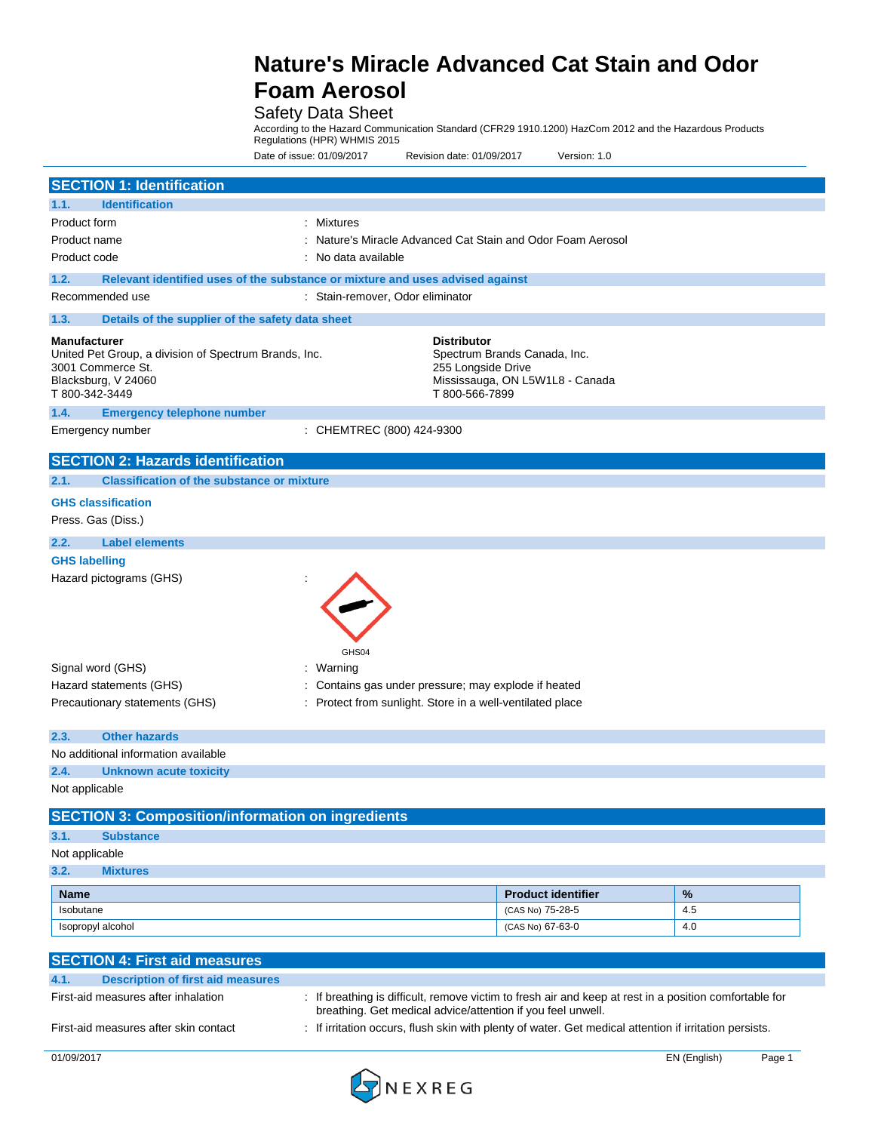## **Nature's Miracle Advanced Cat Stain and Odor Foam Aerosol**

Safety Data Sheet

According to the Hazard Communication Standard (CFR29 1910.1200) HazCom 2012 and the Hazardous Products Regulations (HPR) WHMIS 2015

Date of issue: 01/09/2017 Revision date: 01/09/2017 Version: 1.0

| <b>SECTION 1: Identification</b>                                                      |                                  |                                                                                                        |                        |
|---------------------------------------------------------------------------------------|----------------------------------|--------------------------------------------------------------------------------------------------------|------------------------|
| 1.1.<br><b>Identification</b><br>Product form                                         | : Mixtures                       |                                                                                                        |                        |
| Product name                                                                          |                                  | : Nature's Miracle Advanced Cat Stain and Odor Foam Aerosol                                            |                        |
| Product code                                                                          | : No data available              |                                                                                                        |                        |
| 1.2.<br>Relevant identified uses of the substance or mixture and uses advised against |                                  |                                                                                                        |                        |
| Recommended use                                                                       | : Stain-remover, Odor eliminator |                                                                                                        |                        |
|                                                                                       |                                  |                                                                                                        |                        |
| 1.3.<br>Details of the supplier of the safety data sheet                              |                                  |                                                                                                        |                        |
| <b>Manufacturer</b><br>United Pet Group, a division of Spectrum Brands, Inc.          |                                  | <b>Distributor</b><br>Spectrum Brands Canada, Inc.                                                     |                        |
| 3001 Commerce St.                                                                     |                                  | 255 Longside Drive                                                                                     |                        |
| Blacksburg, V 24060<br>T 800-342-3449                                                 |                                  | Mississauga, ON L5W1L8 - Canada<br>T 800-566-7899                                                      |                        |
| 1.4.<br><b>Emergency telephone number</b>                                             |                                  |                                                                                                        |                        |
| Emergency number                                                                      | : CHEMTREC (800) 424-9300        |                                                                                                        |                        |
|                                                                                       |                                  |                                                                                                        |                        |
| <b>SECTION 2: Hazards identification</b>                                              |                                  |                                                                                                        |                        |
| <b>Classification of the substance or mixture</b><br>2.1.                             |                                  |                                                                                                        |                        |
| <b>GHS classification</b>                                                             |                                  |                                                                                                        |                        |
| Press. Gas (Diss.)                                                                    |                                  |                                                                                                        |                        |
| 2.2.<br><b>Label elements</b>                                                         |                                  |                                                                                                        |                        |
| <b>GHS labelling</b>                                                                  |                                  |                                                                                                        |                        |
| Hazard pictograms (GHS)                                                               |                                  |                                                                                                        |                        |
|                                                                                       | GHS04                            |                                                                                                        |                        |
| Signal word (GHS)                                                                     | : Warning                        |                                                                                                        |                        |
| Hazard statements (GHS)                                                               |                                  | Contains gas under pressure; may explode if heated                                                     |                        |
| Precautionary statements (GHS)                                                        |                                  | : Protect from sunlight. Store in a well-ventilated place                                              |                        |
|                                                                                       |                                  |                                                                                                        |                        |
| 2.3.<br><b>Other hazards</b>                                                          |                                  |                                                                                                        |                        |
| No additional information available                                                   |                                  |                                                                                                        |                        |
| 2.4.<br><b>Unknown acute toxicity</b><br>Not applicable                               |                                  |                                                                                                        |                        |
|                                                                                       |                                  |                                                                                                        |                        |
| <b>SECTION 3: Composition/information on ingredients</b>                              |                                  |                                                                                                        |                        |
| 3.1.<br><b>Substance</b>                                                              |                                  |                                                                                                        |                        |
| Not applicable                                                                        |                                  |                                                                                                        |                        |
| 3.2.<br><b>Mixtures</b>                                                               |                                  |                                                                                                        |                        |
| <b>Name</b>                                                                           |                                  | <b>Product identifier</b>                                                                              | %                      |
| Isobutane                                                                             |                                  | (CAS No) 75-28-5                                                                                       | 4.5                    |
| Isopropyl alcohol                                                                     |                                  | (CAS No) 67-63-0                                                                                       | 4.0                    |
| <b>SECTION 4: First aid measures</b>                                                  |                                  |                                                                                                        |                        |
| 4.1.<br><b>Description of first aid measures</b>                                      |                                  |                                                                                                        |                        |
| First-aid measures after inhalation                                                   |                                  | : If breathing is difficult, remove victim to fresh air and keep at rest in a position comfortable for |                        |
|                                                                                       |                                  | breathing. Get medical advice/attention if you feel unwell.                                            |                        |
| First-aid measures after skin contact                                                 |                                  | : If irritation occurs, flush skin with plenty of water. Get medical attention if irritation persists. |                        |
| 01/09/2017                                                                            |                                  |                                                                                                        | EN (English)<br>Page 1 |

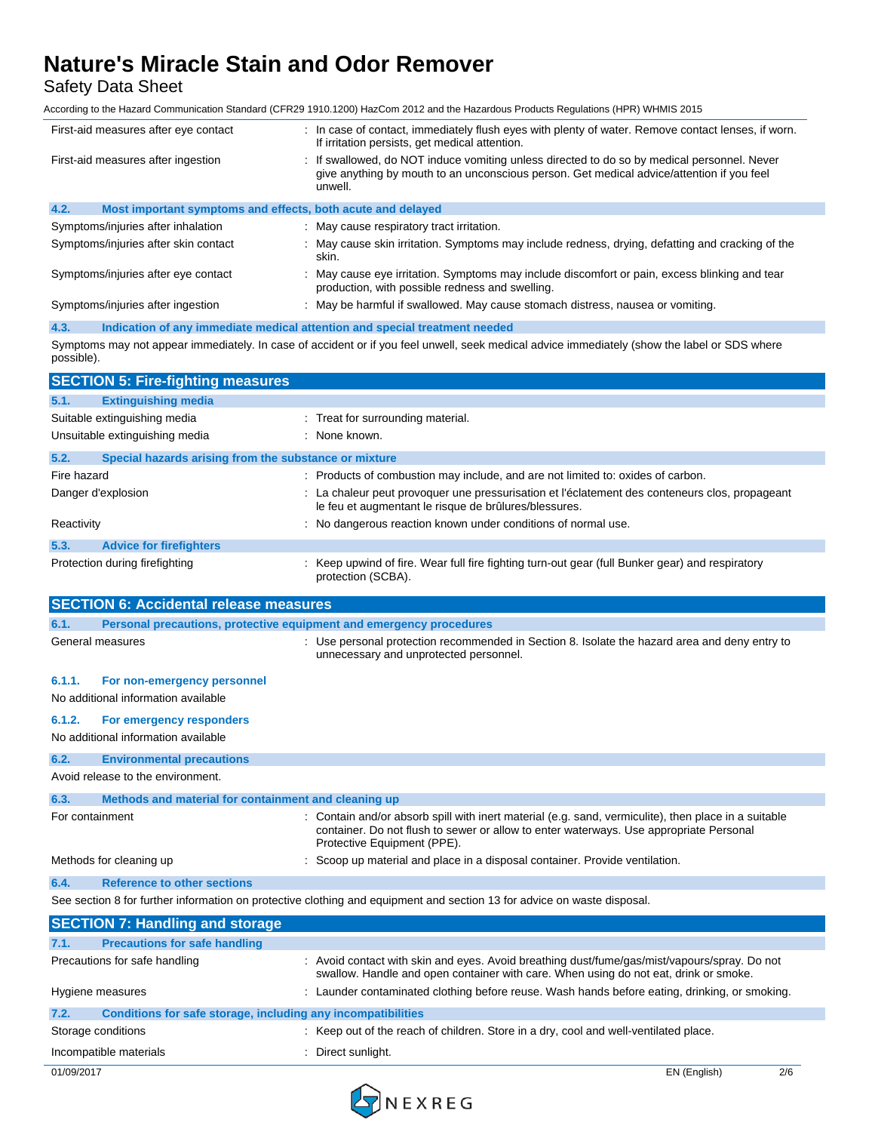Safety Data Sheet

According to the Hazard Communication Standard (CFR29 1910.1200) HazCom 2012 and the Hazardous Products Regulations (HPR) WHMIS 2015

| First-aid measures after eye contact                                          | : In case of contact, immediately flush eyes with plenty of water. Remove contact lenses, if worn.<br>If irritation persists, get medical attention.                                                                          |
|-------------------------------------------------------------------------------|-------------------------------------------------------------------------------------------------------------------------------------------------------------------------------------------------------------------------------|
| First-aid measures after ingestion                                            | : If swallowed, do NOT induce vomiting unless directed to do so by medical personnel. Never<br>give anything by mouth to an unconscious person. Get medical advice/attention if you feel<br>unwell.                           |
| 4.2.<br>Most important symptoms and effects, both acute and delayed           |                                                                                                                                                                                                                               |
| Symptoms/injuries after inhalation                                            | : May cause respiratory tract irritation.                                                                                                                                                                                     |
| Symptoms/injuries after skin contact                                          | : May cause skin irritation. Symptoms may include redness, drying, defatting and cracking of the<br>skin.                                                                                                                     |
| Symptoms/injuries after eye contact                                           | : May cause eye irritation. Symptoms may include discomfort or pain, excess blinking and tear<br>production, with possible redness and swelling.                                                                              |
| Symptoms/injuries after ingestion                                             | : May be harmful if swallowed. May cause stomach distress, nausea or vomiting.                                                                                                                                                |
| 4.3.                                                                          | Indication of any immediate medical attention and special treatment needed                                                                                                                                                    |
| possible).                                                                    | Symptoms may not appear immediately. In case of accident or if you feel unwell, seek medical advice immediately (show the label or SDS where                                                                                  |
| <b>SECTION 5: Fire-fighting measures</b>                                      |                                                                                                                                                                                                                               |
| <b>Extinguishing media</b><br>5.1.                                            |                                                                                                                                                                                                                               |
| Suitable extinguishing media                                                  | : Treat for surrounding material.                                                                                                                                                                                             |
| Unsuitable extinguishing media                                                | : None known.                                                                                                                                                                                                                 |
| 5.2.<br>Special hazards arising from the substance or mixture                 |                                                                                                                                                                                                                               |
| Fire hazard                                                                   | : Products of combustion may include, and are not limited to: oxides of carbon.                                                                                                                                               |
| Danger d'explosion                                                            | : La chaleur peut provoquer une pressurisation et l'éclatement des conteneurs clos, propageant<br>le feu et augmentant le risque de brûlures/blessures.                                                                       |
| Reactivity                                                                    | : No dangerous reaction known under conditions of normal use.                                                                                                                                                                 |
| 5.3.<br><b>Advice for firefighters</b>                                        |                                                                                                                                                                                                                               |
| Protection during firefighting                                                | : Keep upwind of fire. Wear full fire fighting turn-out gear (full Bunker gear) and respiratory<br>protection (SCBA).                                                                                                         |
| <b>SECTION 6: Accidental release measures</b>                                 |                                                                                                                                                                                                                               |
| 6.1.                                                                          | Personal precautions, protective equipment and emergency procedures                                                                                                                                                           |
| General measures                                                              | : Use personal protection recommended in Section 8. Isolate the hazard area and deny entry to<br>unnecessary and unprotected personnel.                                                                                       |
| 6.1.1.<br>For non-emergency personnel<br>No additional information available  |                                                                                                                                                                                                                               |
|                                                                               |                                                                                                                                                                                                                               |
| 6.1.2.<br>For emergency responders<br>No additional information available     |                                                                                                                                                                                                                               |
| 6.2.<br><b>Environmental precautions</b><br>Avoid release to the environment. |                                                                                                                                                                                                                               |
| 6.3.<br>Methods and material for containment and cleaning up                  |                                                                                                                                                                                                                               |
| For containment                                                               | : Contain and/or absorb spill with inert material (e.g. sand, vermiculite), then place in a suitable<br>container. Do not flush to sewer or allow to enter waterways. Use appropriate Personal<br>Protective Equipment (PPE). |
| Methods for cleaning up                                                       | : Scoop up material and place in a disposal container. Provide ventilation.                                                                                                                                                   |
| 6.4.<br><b>Reference to other sections</b>                                    |                                                                                                                                                                                                                               |
|                                                                               | See section 8 for further information on protective clothing and equipment and section 13 for advice on waste disposal.                                                                                                       |
| <b>SECTION 7: Handling and storage</b>                                        |                                                                                                                                                                                                                               |
| <b>Precautions for safe handling</b><br>7.1.                                  |                                                                                                                                                                                                                               |
| Precautions for safe handling                                                 | : Avoid contact with skin and eyes. Avoid breathing dust/fume/gas/mist/vapours/spray. Do not<br>swallow. Handle and open container with care. When using do not eat, drink or smoke.                                          |
| Hygiene measures                                                              | : Launder contaminated clothing before reuse. Wash hands before eating, drinking, or smoking.                                                                                                                                 |
| 7.2.<br>Conditions for safe storage, including any incompatibilities          |                                                                                                                                                                                                                               |
| Storage conditions                                                            | : Keep out of the reach of children. Store in a dry, cool and well-ventilated place.                                                                                                                                          |
|                                                                               |                                                                                                                                                                                                                               |
| Incompatible materials                                                        | : Direct sunlight.                                                                                                                                                                                                            |

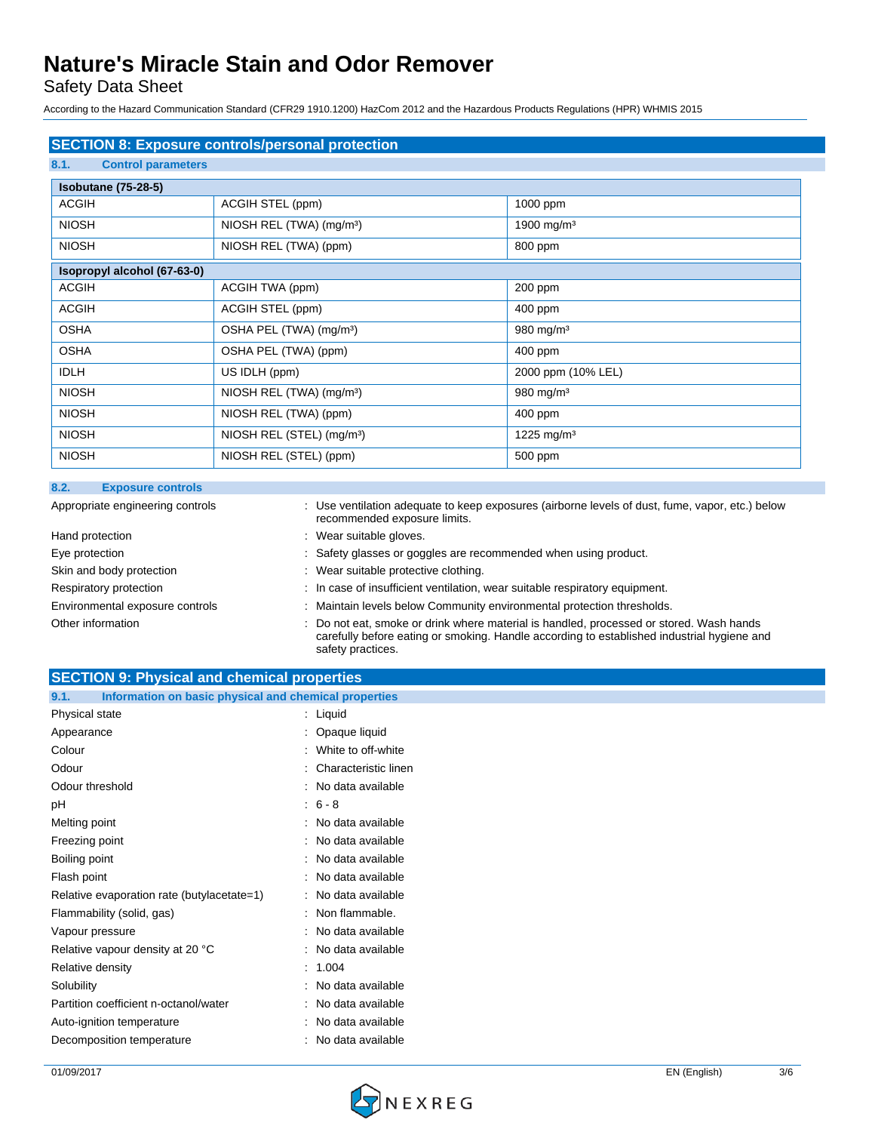Safety Data Sheet

According to the Hazard Communication Standard (CFR29 1910.1200) HazCom 2012 and the Hazardous Products Regulations (HPR) WHMIS 2015

## **SECTION 8: Exposure controls/personal protection**

### **8.1. Control parameters**

| <b>Isobutane (75-28-5)</b>  |                                       |                        |
|-----------------------------|---------------------------------------|------------------------|
| <b>ACGIH</b>                | ACGIH STEL (ppm)                      | 1000 ppm               |
| <b>NIOSH</b>                | NIOSH REL (TWA) (mg/m <sup>3</sup> )  | 1900 mg/m <sup>3</sup> |
| <b>NIOSH</b>                | NIOSH REL (TWA) (ppm)                 | 800 ppm                |
| Isopropyl alcohol (67-63-0) |                                       |                        |
| <b>ACGIH</b>                | ACGIH TWA (ppm)                       | 200 ppm                |
| <b>ACGIH</b>                | ACGIH STEL (ppm)                      | 400 ppm                |
| <b>OSHA</b>                 | OSHA PEL (TWA) (mg/m <sup>3</sup> )   | 980 mg/m $3$           |
| <b>OSHA</b>                 | OSHA PEL (TWA) (ppm)                  | $400$ ppm              |
| <b>IDLH</b>                 | US IDLH (ppm)                         | 2000 ppm (10% LEL)     |
| <b>NIOSH</b>                | NIOSH REL (TWA) (mg/m <sup>3</sup> )  | 980 mg/m $3$           |
| <b>NIOSH</b>                | NIOSH REL (TWA) (ppm)                 | 400 ppm                |
| <b>NIOSH</b>                | NIOSH REL (STEL) (mg/m <sup>3</sup> ) | 1225 mg/m <sup>3</sup> |
| <b>NIOSH</b>                | NIOSH REL (STEL) (ppm)                | 500 ppm                |

## **8.2. Exposure controls**

| Appropriate engineering controls | : Use ventilation adequate to keep exposures (airborne levels of dust, fume, vapor, etc.) below<br>recommended exposure limits.                                                       |
|----------------------------------|---------------------------------------------------------------------------------------------------------------------------------------------------------------------------------------|
| Hand protection                  | : Wear suitable gloves.                                                                                                                                                               |
| Eye protection                   | : Safety glasses or goggles are recommended when using product.                                                                                                                       |
| Skin and body protection         | : Wear suitable protective clothing.                                                                                                                                                  |
| Respiratory protection           | : In case of insufficient ventilation, wear suitable respiratory equipment.                                                                                                           |
| Environmental exposure controls  | : Maintain levels below Community environmental protection thresholds.                                                                                                                |
| Other information                | : Do not eat, smoke or drink where material is handled, processed or stored. Wash hands<br>carefully before eating or smoking. Handle according to established industrial hygiene and |

## **SECTION 9: Physical and chemical properties**

| Information on basic physical and chemical properties<br>9.1. |                        |
|---------------------------------------------------------------|------------------------|
| Physical state                                                | $:$ Liquid             |
| Appearance                                                    | : Opaque liquid        |
| Colour                                                        | : White to off-white   |
| Odour                                                         | : Characteristic linen |
| Odour threshold                                               | : No data available    |
| рH                                                            | $: 6 - 8$              |
| Melting point                                                 | : No data available    |
| Freezing point                                                | : No data available    |
| Boiling point                                                 | : No data available    |
| Flash point                                                   | : No data available    |
| Relative evaporation rate (butylacetate=1)                    | : No data available    |
| Flammability (solid, gas)                                     | : Non flammable.       |
| Vapour pressure                                               | : No data available    |
| Relative vapour density at 20 °C                              | : No data available    |
| Relative density                                              | : 1.004                |
| Solubility                                                    | : No data available    |
| Partition coefficient n-octanol/water                         | : No data available    |
| Auto-ignition temperature                                     | : No data available    |
| Decomposition temperature                                     | : No data available    |
|                                                               |                        |

safety practices.

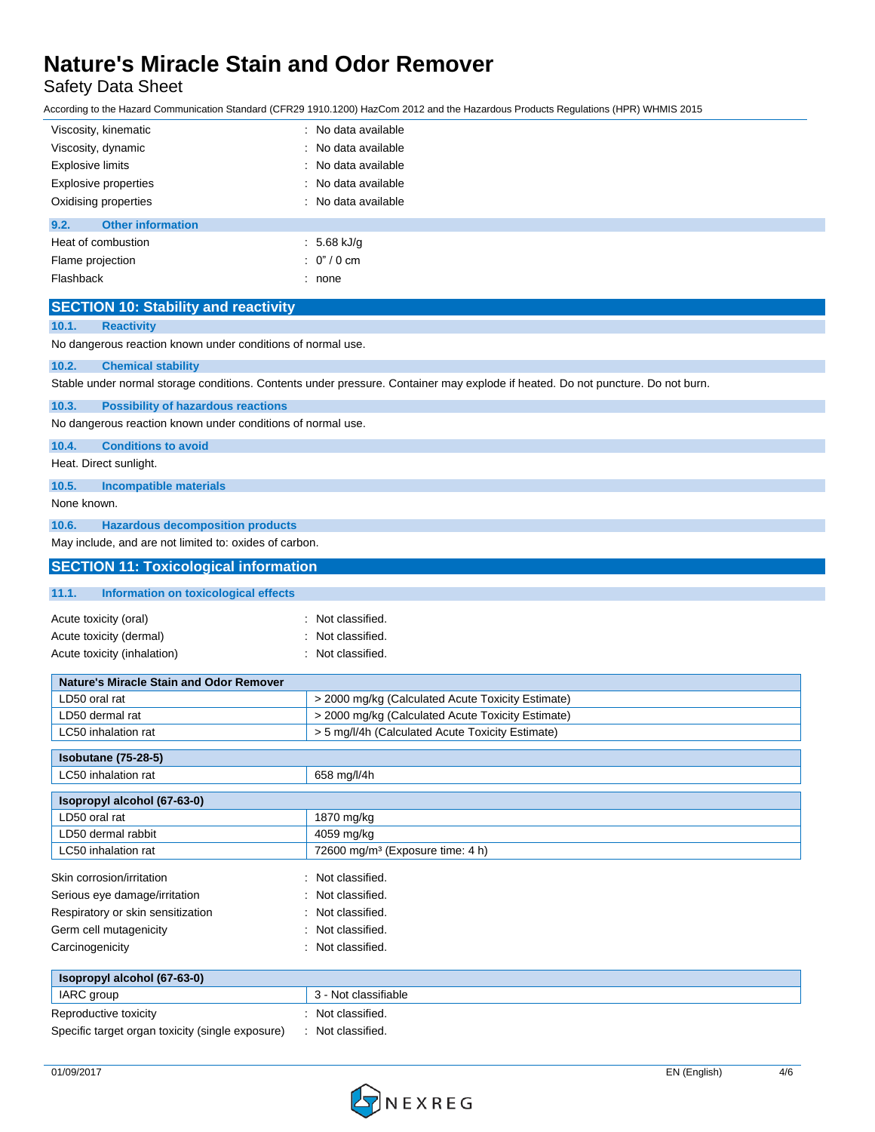Safety Data Sheet

According to the Hazard Communication Standard (CFR29 1910.1200) HazCom 2012 and the Hazardous Products Regulations (HPR) WHMIS 2015

| Viscosity, kinematic                                                                                                                                                                                                                                                                                                                                                                                                         | : No data available |
|------------------------------------------------------------------------------------------------------------------------------------------------------------------------------------------------------------------------------------------------------------------------------------------------------------------------------------------------------------------------------------------------------------------------------|---------------------|
| Viscosity, dynamic                                                                                                                                                                                                                                                                                                                                                                                                           | : No data available |
| Explosive limits                                                                                                                                                                                                                                                                                                                                                                                                             | : No data available |
| <b>Explosive properties</b>                                                                                                                                                                                                                                                                                                                                                                                                  | : No data available |
| Oxidising properties                                                                                                                                                                                                                                                                                                                                                                                                         | : No data available |
| 9.2.<br><b>Other information</b>                                                                                                                                                                                                                                                                                                                                                                                             |                     |
| Heat of combustion                                                                                                                                                                                                                                                                                                                                                                                                           | : 5.68 kJ/g         |
| Flame projection                                                                                                                                                                                                                                                                                                                                                                                                             | $: 0$ " / 0 cm      |
| Flashback                                                                                                                                                                                                                                                                                                                                                                                                                    | : none              |
| $\mathbf{A} = \mathbf{A} + \mathbf{A} + \mathbf{A} + \mathbf{A} + \mathbf{A} + \mathbf{A} + \mathbf{A} + \mathbf{A} + \mathbf{A} + \mathbf{A} + \mathbf{A} + \mathbf{A} + \mathbf{A} + \mathbf{A} + \mathbf{A} + \mathbf{A} + \mathbf{A} + \mathbf{A} + \mathbf{A} + \mathbf{A} + \mathbf{A} + \mathbf{A} + \mathbf{A} + \mathbf{A} + \mathbf{A} + \mathbf{A} + \mathbf{A} + \mathbf{A} + \mathbf{A} + \mathbf{A} + \mathbf$ |                     |

### **SECTION 10: Stability and reactivity**

### **10.1. Reactivity**

No dangerous reaction known under conditions of normal use.

#### **10.2. Chemical stability**

Stable under normal storage conditions. Contents under pressure. Container may explode if heated. Do not puncture. Do not burn.

#### **10.3. Possibility of hazardous reactions**

No dangerous reaction known under conditions of normal use.

#### **10.4. Conditions to avoid**

Heat. Direct sunlight.

#### **10.5. Incompatible materials**

None known.

#### **10.6. Hazardous decomposition products**

May include, and are not limited to: oxides of carbon.

### **SECTION 11: Toxicological information**

## **11.1. Information on toxicological effects**

| Acute toxicity (oral)       | : Not classified. |
|-----------------------------|-------------------|
| Acute toxicity (dermal)     | : Not classified. |
| Acute toxicity (inhalation) | : Not classified. |

| <b>Nature's Miracle Stain and Odor Remover</b> |                                                   |
|------------------------------------------------|---------------------------------------------------|
| LD50 oral rat                                  | > 2000 mg/kg (Calculated Acute Toxicity Estimate) |
| LD50 dermal rat                                | > 2000 mg/kg (Calculated Acute Toxicity Estimate) |
| LC50 inhalation rat                            | > 5 mg/l/4h (Calculated Acute Toxicity Estimate)  |
|                                                |                                                   |
| <b>Isobutane (75-28-5)</b>                     |                                                   |
| LC50 inhalation rat                            | 658 mg/l/4h                                       |

| Isopropyl alcohol (67-63-0)       |                                              |
|-----------------------------------|----------------------------------------------|
| LD50 oral rat                     | 1870 mg/kg                                   |
| LD50 dermal rabbit                | 4059 mg/kg                                   |
| LC50 inhalation rat               | 72600 mg/m <sup>3</sup> (Exposure time: 4 h) |
| Skin corrosion/irritation         | : Not classified.                            |
| Serious eye damage/irritation     | : Not classified.                            |
| Respiratory or skin sensitization | : Not classified.                            |
| Germ cell mutagenicity            | : Not classified.                            |
| Carcinogenicity                   | : Not classified.                            |
|                                   |                                              |
| loopranul alashal (C7 C2 0)       |                                              |

| <b>150PHOPYL AIGONOL (07-05-0)</b>               |                      |
|--------------------------------------------------|----------------------|
| IARC group                                       | 3 - Not classifiable |
| Reproductive toxicity                            | Not classified.      |
| Specific target organ toxicity (single exposure) | Not classified.      |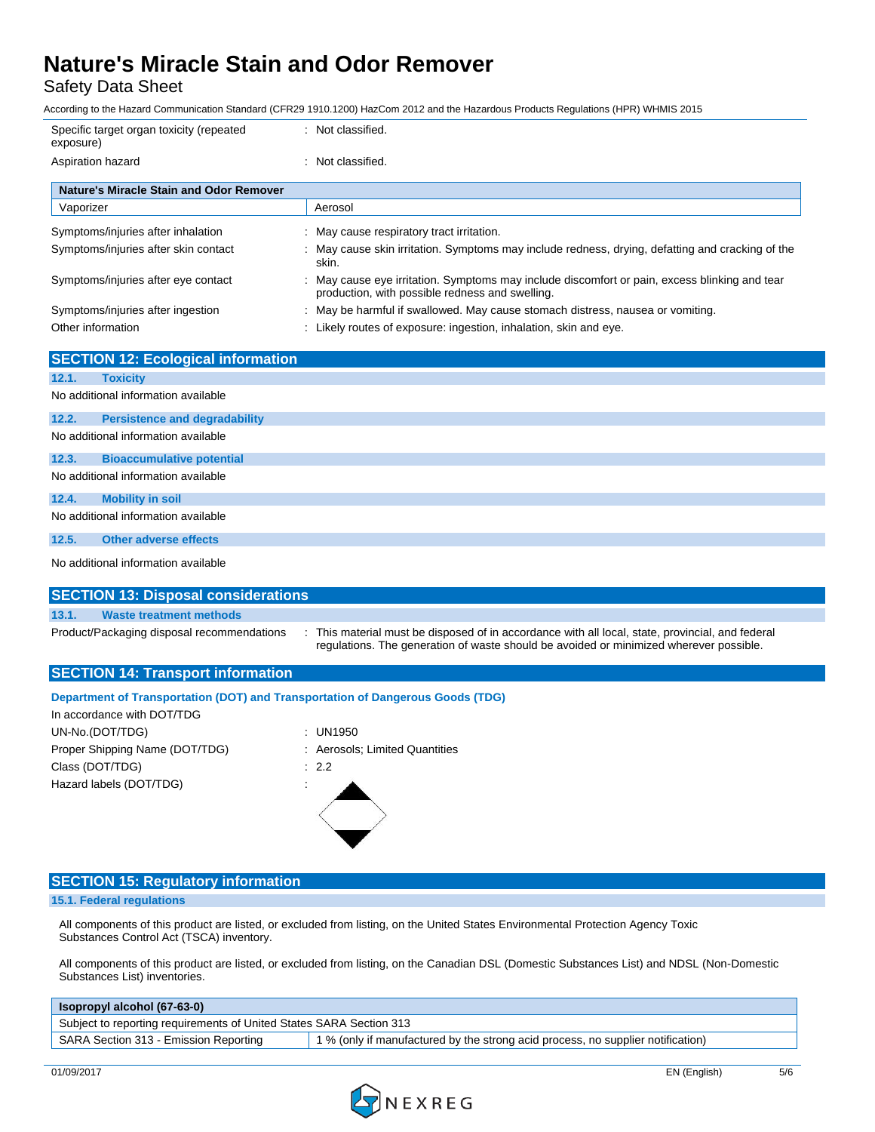Safety Data Sheet

According to the Hazard Communication Standard (CFR29 1910.1200) HazCom 2012 and the Hazardous Products Regulations (HPR) WHMIS 2015

| Specific target organ toxicity (repeated<br>exposure) | : Not classified.                                                                                                                                |
|-------------------------------------------------------|--------------------------------------------------------------------------------------------------------------------------------------------------|
| Aspiration hazard                                     | Not classified.<br>÷                                                                                                                             |
| <b>Nature's Miracle Stain and Odor Remover</b>        |                                                                                                                                                  |
| Vaporizer                                             | Aerosol                                                                                                                                          |
| Symptoms/injuries after inhalation                    | : May cause respiratory tract irritation.                                                                                                        |
| Symptoms/injuries after skin contact                  | : May cause skin irritation. Symptoms may include redness, drying, defatting and cracking of the<br>skin.                                        |
| Symptoms/injuries after eye contact                   | : May cause eye irritation. Symptoms may include discomfort or pain, excess blinking and tear<br>production, with possible redness and swelling. |
| Symptoms/injuries after ingestion                     | : May be harmful if swallowed. May cause stomach distress, nausea or vomiting.                                                                   |
| Other information                                     | : Likely routes of exposure: ingestion, inhalation, skin and eye.                                                                                |

|       | <b>SECTION 12: Ecological information</b> |
|-------|-------------------------------------------|
| 12.1. | <b>Toxicity</b>                           |
|       | No additional information available       |
| 12.2. | <b>Persistence and degradability</b>      |
|       | No additional information available       |
| 12.3. | <b>Bioaccumulative potential</b>          |
|       | No additional information available       |
| 12.4. | <b>Mobility in soil</b>                   |
|       | No additional information available       |
| 12.5. | <b>Other adverse effects</b>              |
|       | No additional information available       |

| 13.1.<br>Waste treatment methods<br>: This material must be disposed of in accordance with all local, state, provincial, and federal<br>regulations. The generation of waste should be avoided or minimized wherever possible. | <b>SECTION 13: Disposal considerations</b> |                                          |  |  |  |  |  |  |  |
|--------------------------------------------------------------------------------------------------------------------------------------------------------------------------------------------------------------------------------|--------------------------------------------|------------------------------------------|--|--|--|--|--|--|--|
|                                                                                                                                                                                                                                |                                            |                                          |  |  |  |  |  |  |  |
|                                                                                                                                                                                                                                | Product/Packaging disposal recommendations |                                          |  |  |  |  |  |  |  |
|                                                                                                                                                                                                                                |                                            | <b>SECTION 14: Transport information</b> |  |  |  |  |  |  |  |

#### **Department of Transportation (DOT) and Transportation of Dangerous Goods (TDG)**

| In accordance with DOT/TDG     |                                |
|--------------------------------|--------------------------------|
| UN-No.(DOT/TDG)                | : UN1950                       |
| Proper Shipping Name (DOT/TDG) | : Aerosols; Limited Quantities |
| Class (DOT/TDG)                | $\therefore$ 2.2               |
| Hazard labels (DOT/TDG)        |                                |



#### **15.1. Federal regulations**

All components of this product are listed, or excluded from listing, on the United States Environmental Protection Agency Toxic Substances Control Act (TSCA) inventory.

All components of this product are listed, or excluded from listing, on the Canadian DSL (Domestic Substances List) and NDSL (Non-Domestic Substances List) inventories.

| <b>Isopropyl alcohol (67-63-0)</b>                                  |                                                                                 |  |  |  |  |  |
|---------------------------------------------------------------------|---------------------------------------------------------------------------------|--|--|--|--|--|
| Subject to reporting requirements of United States SARA Section 313 |                                                                                 |  |  |  |  |  |
| SARA Section 313 - Emission Reporting                               | 1 % (only if manufactured by the strong acid process, no supplier notification) |  |  |  |  |  |
|                                                                     |                                                                                 |  |  |  |  |  |